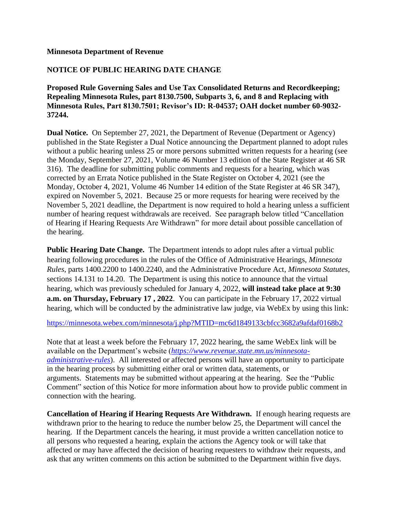## **Minnesota Department of Revenue**

## **NOTICE OF PUBLIC HEARING DATE CHANGE**

**Proposed Rule Governing Sales and Use Tax Consolidated Returns and Recordkeeping; Repealing Minnesota Rules, part 8130.7500, Subparts 3, 6, and 8 and Replacing with Minnesota Rules, Part 8130.7501; Revisor's ID: R-04537; OAH docket number 60-9032- 37244.**

**Dual Notice.** On September 27, 2021, the Department of Revenue (Department or Agency) published in the State Register a Dual Notice announcing the Department planned to adopt rules without a public hearing unless 25 or more persons submitted written requests for a hearing (see the Monday, September 27, 2021, Volume 46 Number 13 edition of the State Register at 46 SR 316). The deadline for submitting public comments and requests for a hearing, which was corrected by an Errata Notice published in the State Register on October 4, 2021 (see the Monday, October 4, 2021, Volume 46 Number 14 edition of the State Register at 46 SR 347), expired on November 5, 2021. Because 25 or more requests for hearing were received by the November 5, 2021 deadline, the Department is now required to hold a hearing unless a sufficient number of hearing request withdrawals are received. See paragraph below titled "Cancellation of Hearing if Hearing Requests Are Withdrawn" for more detail about possible cancellation of the hearing.

**Public Hearing Date Change.** The Department intends to adopt rules after a virtual public hearing following procedures in the rules of the Office of Administrative Hearings, *Minnesota Rules*, parts 1400.2200 to 1400.2240, and the Administrative Procedure Act, *Minnesota Statutes*, sections 14.131 to 14.20. The Department is using this notice to announce that the virtual hearing, which was previously scheduled for January 4, 2022, **will instead take place at 9:30 a.m. on Thursday, February 17 , 2022**. You can participate in the February 17, 2022 virtual hearing, which will be conducted by the administrative law judge, via WebEx by using this link:

<https://minnesota.webex.com/minnesota/j.php?MTID=mc6d1849133cbfcc3682a9afdaf0168b2>

Note that at least a week before the February 17, 2022 hearing, the same WebEx link will be available on the Department's website (*[https://www.revenue.state.mn.us/minnesota](https://lnks.gd/l/eyJhbGciOiJIUzI1NiJ9.eyJidWxsZXRpbl9saW5rX2lkIjoxMDIsInVyaSI6ImJwMjpjbGljayIsImJ1bGxldGluX2lkIjoiMjAyMTExMDguNDg1MzE4ODEiLCJ1cmwiOiJodHRwczovL3d3dy5yZXZlbnVlLnN0YXRlLm1uLnVzL21pbm5lc290YS1hZG1pbmlzdHJhdGl2ZS1ydWxlcyJ9.riYl0HbEs5RGnqMLJa4famvJSwfZxBJ1iWRD6jI_apQ/s/1183146178/br/118585340990-l)[administrative-rules](https://lnks.gd/l/eyJhbGciOiJIUzI1NiJ9.eyJidWxsZXRpbl9saW5rX2lkIjoxMDIsInVyaSI6ImJwMjpjbGljayIsImJ1bGxldGluX2lkIjoiMjAyMTExMDguNDg1MzE4ODEiLCJ1cmwiOiJodHRwczovL3d3dy5yZXZlbnVlLnN0YXRlLm1uLnVzL21pbm5lc290YS1hZG1pbmlzdHJhdGl2ZS1ydWxlcyJ9.riYl0HbEs5RGnqMLJa4famvJSwfZxBJ1iWRD6jI_apQ/s/1183146178/br/118585340990-l)*). All interested or affected persons will have an opportunity to participate in the hearing process by submitting either oral or written data, statements, or arguments. Statements may be submitted without appearing at the hearing. See the "Public Comment" section of this Notice for more information about how to provide public comment in connection with the hearing.

**Cancellation of Hearing if Hearing Requests Are Withdrawn.** If enough hearing requests are withdrawn prior to the hearing to reduce the number below 25, the Department will cancel the hearing. If the Department cancels the hearing, it must provide a written cancellation notice to all persons who requested a hearing, explain the actions the Agency took or will take that affected or may have affected the decision of hearing requesters to withdraw their requests, and ask that any written comments on this action be submitted to the Department within five days.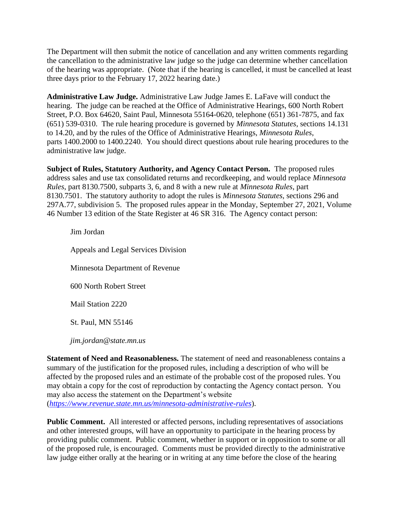The Department will then submit the notice of cancellation and any written comments regarding the cancellation to the administrative law judge so the judge can determine whether cancellation of the hearing was appropriate. (Note that if the hearing is cancelled, it must be cancelled at least three days prior to the February 17, 2022 hearing date.)

**Administrative Law Judge.** Administrative Law Judge James E. LaFave will conduct the hearing. The judge can be reached at the Office of Administrative Hearings, 600 North Robert Street, P.O. Box 64620, Saint Paul, Minnesota 55164-0620, telephone (651) 361-7875, and fax (651) 539-0310. The rule hearing procedure is governed by *Minnesota Statutes*, sections 14.131 to 14.20, and by the rules of the Office of Administrative Hearings, *Minnesota Rules*, parts 1400.2000 to 1400.2240. You should direct questions about rule hearing procedures to the administrative law judge.

**Subject of Rules, Statutory Authority, and Agency Contact Person.** The proposed rules address sales and use tax consolidated returns and recordkeeping, and would replace *Minnesota Rules*, part 8130.7500, subparts 3, 6, and 8 with a new rule at *Minnesota Rules*, part 8130.7501. The statutory authority to adopt the rules is *Minnesota Statutes*, sections 296 and 297A.77, subdivision 5. The proposed rules appear in the Monday, September 27, 2021, Volume 46 Number 13 edition of the State Register at 46 SR 316. The Agency contact person:

Jim Jordan Appeals and Legal Services Division Minnesota Department of Revenue 600 North Robert Street Mail Station 2220 St. Paul, MN 55146 *jim.jordan@state.mn.us*

**Statement of Need and Reasonableness.** The statement of need and reasonableness contains a summary of the justification for the proposed rules, including a description of who will be affected by the proposed rules and an estimate of the probable cost of the proposed rules. You may obtain a copy for the cost of reproduction by contacting the Agency contact person. You may also access the statement on the Department's website

(*[https://www.revenue.state.mn.us/minnesota-administrative-rules](https://lnks.gd/l/eyJhbGciOiJIUzI1NiJ9.eyJidWxsZXRpbl9saW5rX2lkIjoxMDIsInVyaSI6ImJwMjpjbGljayIsImJ1bGxldGluX2lkIjoiMjAyMTExMDguNDg1MzE4ODEiLCJ1cmwiOiJodHRwczovL3d3dy5yZXZlbnVlLnN0YXRlLm1uLnVzL21pbm5lc290YS1hZG1pbmlzdHJhdGl2ZS1ydWxlcyJ9.riYl0HbEs5RGnqMLJa4famvJSwfZxBJ1iWRD6jI_apQ/s/1183146178/br/118585340990-l)*).

**Public Comment.** All interested or affected persons, including representatives of associations and other interested groups, will have an opportunity to participate in the hearing process by providing public comment. Public comment, whether in support or in opposition to some or all of the proposed rule, is encouraged. Comments must be provided directly to the administrative law judge either orally at the hearing or in writing at any time before the close of the hearing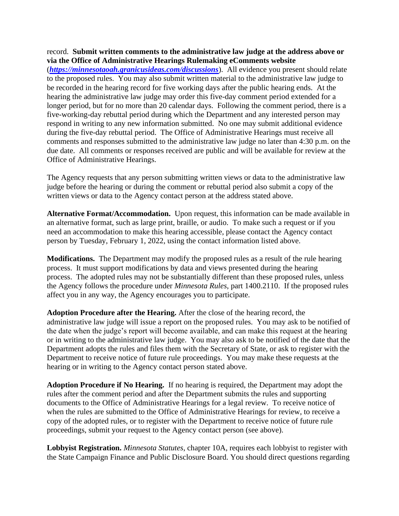## record. **Submit written comments to the administrative law judge at the address above or via the Office of Administrative Hearings Rulemaking eComments website**

(*[https://minnesotaoah.granicusideas.com/discussions](https://lnks.gd/l/eyJhbGciOiJIUzI1NiJ9.eyJidWxsZXRpbl9saW5rX2lkIjoxMDMsInVyaSI6ImJwMjpjbGljayIsImJ1bGxldGluX2lkIjoiMjAyMTExMDguNDg1MzE4ODEiLCJ1cmwiOiJodHRwczovL21pbm5lc290YW9haC5ncmFuaWN1c2lkZWFzLmNvbS9kaXNjdXNzaW9ucyJ9.Ng1PyRtwO_kPao-5sjnE46iyODyRI-XeUxPtB3ytKns/s/1183146178/br/118585340990-l)*). All evidence you present should relate to the proposed rules. You may also submit written material to the administrative law judge to be recorded in the hearing record for five working days after the public hearing ends. At the hearing the administrative law judge may order this five-day comment period extended for a longer period, but for no more than 20 calendar days. Following the comment period, there is a five-working-day rebuttal period during which the Department and any interested person may respond in writing to any new information submitted. No one may submit additional evidence during the five-day rebuttal period. The Office of Administrative Hearings must receive all comments and responses submitted to the administrative law judge no later than 4:30 p.m. on the due date. All comments or responses received are public and will be available for review at the Office of Administrative Hearings.

The Agency requests that any person submitting written views or data to the administrative law judge before the hearing or during the comment or rebuttal period also submit a copy of the written views or data to the Agency contact person at the address stated above.

**Alternative Format/Accommodation.** Upon request, this information can be made available in an alternative format, such as large print, braille, or audio. To make such a request or if you need an accommodation to make this hearing accessible, please contact the Agency contact person by Tuesday, February 1, 2022, using the contact information listed above.

**Modifications.** The Department may modify the proposed rules as a result of the rule hearing process. It must support modifications by data and views presented during the hearing process. The adopted rules may not be substantially different than these proposed rules, unless the Agency follows the procedure under *Minnesota Rules*, part 1400.2110. If the proposed rules affect you in any way, the Agency encourages you to participate.

**Adoption Procedure after the Hearing.** After the close of the hearing record, the administrative law judge will issue a report on the proposed rules. You may ask to be notified of the date when the judge's report will become available, and can make this request at the hearing or in writing to the administrative law judge. You may also ask to be notified of the date that the Department adopts the rules and files them with the Secretary of State, or ask to register with the Department to receive notice of future rule proceedings. You may make these requests at the hearing or in writing to the Agency contact person stated above.

**Adoption Procedure if No Hearing.** If no hearing is required, the Department may adopt the rules after the comment period and after the Department submits the rules and supporting documents to the Office of Administrative Hearings for a legal review. To receive notice of when the rules are submitted to the Office of Administrative Hearings for review, to receive a copy of the adopted rules, or to register with the Department to receive notice of future rule proceedings, submit your request to the Agency contact person (see above).

**Lobbyist Registration.** *Minnesota Statutes*, chapter 10A, requires each lobbyist to register with the State Campaign Finance and Public Disclosure Board. You should direct questions regarding